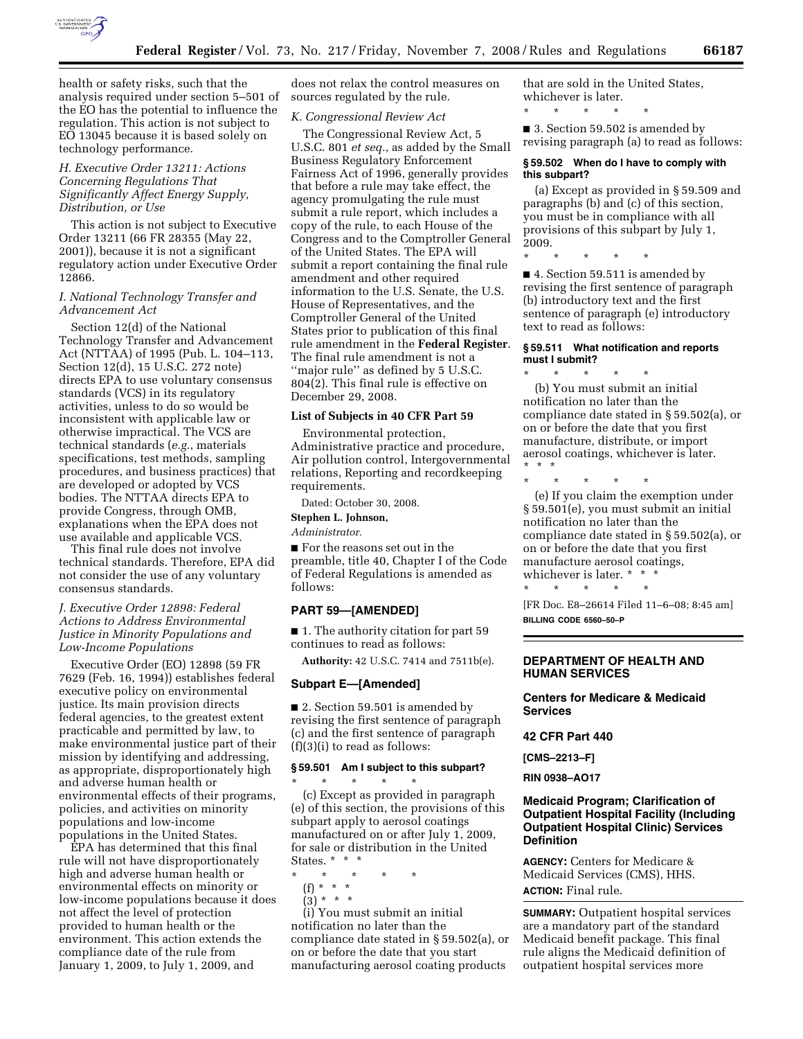

health or safety risks, such that the analysis required under section 5–501 of the EO has the potential to influence the regulation. This action is not subject to EO 13045 because it is based solely on technology performance.

# *H. Executive Order 13211: Actions Concerning Regulations That Significantly Affect Energy Supply, Distribution, or Use*

This action is not subject to Executive Order 13211 (66 FR 28355 (May 22, 2001)), because it is not a significant regulatory action under Executive Order 12866.

# *I. National Technology Transfer and Advancement Act*

Section 12(d) of the National Technology Transfer and Advancement Act (NTTAA) of 1995 (Pub. L. 104–113, Section 12(d), 15 U.S.C. 272 note) directs EPA to use voluntary consensus standards (VCS) in its regulatory activities, unless to do so would be inconsistent with applicable law or otherwise impractical. The VCS are technical standards (*e.g.*, materials specifications, test methods, sampling procedures, and business practices) that are developed or adopted by VCS bodies. The NTTAA directs EPA to provide Congress, through OMB, explanations when the EPA does not use available and applicable VCS.

This final rule does not involve technical standards. Therefore, EPA did not consider the use of any voluntary consensus standards.

# *J. Executive Order 12898: Federal Actions to Address Environmental Justice in Minority Populations and Low-Income Populations*

Executive Order (EO) 12898 (59 FR 7629 (Feb. 16, 1994)) establishes federal executive policy on environmental justice. Its main provision directs federal agencies, to the greatest extent practicable and permitted by law, to make environmental justice part of their mission by identifying and addressing, as appropriate, disproportionately high and adverse human health or environmental effects of their programs, policies, and activities on minority populations and low-income populations in the United States.

EPA has determined that this final rule will not have disproportionately high and adverse human health or environmental effects on minority or low-income populations because it does not affect the level of protection provided to human health or the environment. This action extends the compliance date of the rule from January 1, 2009, to July 1, 2009, and

does not relax the control measures on sources regulated by the rule.

# *K. Congressional Review Act*

The Congressional Review Act, 5 U.S.C. 801 *et seq.*, as added by the Small Business Regulatory Enforcement Fairness Act of 1996, generally provides that before a rule may take effect, the agency promulgating the rule must submit a rule report, which includes a copy of the rule, to each House of the Congress and to the Comptroller General of the United States. The EPA will submit a report containing the final rule amendment and other required information to the U.S. Senate, the U.S. House of Representatives, and the Comptroller General of the United States prior to publication of this final rule amendment in the **Federal Register**. The final rule amendment is not a ''major rule'' as defined by 5 U.S.C. 804(2). This final rule is effective on December 29, 2008.

### **List of Subjects in 40 CFR Part 59**

Environmental protection, Administrative practice and procedure, Air pollution control, Intergovernmental relations, Reporting and recordkeeping requirements.

Dated: October 30, 2008.

**Stephen L. Johnson,** 

*Administrator.* 

■ For the reasons set out in the preamble, title 40, Chapter I of the Code of Federal Regulations is amended as follows:

### **PART 59—[AMENDED]**

■ 1. The authority citation for part 59 continues to read as follows:

**Authority:** 42 U.S.C. 7414 and 7511b(e).

#### **Subpart E—[Amended]**

■ 2. Section 59.501 is amended by revising the first sentence of paragraph (c) and the first sentence of paragraph (f)(3)(i) to read as follows:

#### **§ 59.501 Am I subject to this subpart?**

\* \* \* \* \* (c) Except as provided in paragraph (e) of this section, the provisions of this subpart apply to aerosol coatings manufactured on or after July 1, 2009, for sale or distribution in the United States. \* \* \*

\* \* \* \* \*

(f) \* \* \* (3) \* \* \*

(i) You must submit an initial notification no later than the compliance date stated in § 59.502(a), or on or before the date that you start manufacturing aerosol coating products

that are sold in the United States, whichever is later.

\* \* \* \* \*

■ 3. Section 59.502 is amended by revising paragraph (a) to read as follows:

#### **§ 59.502 When do I have to comply with this subpart?**

(a) Except as provided in § 59.509 and paragraphs (b) and (c) of this section, you must be in compliance with all provisions of this subpart by July 1, 2009.

\* \* \* \* \*

■ 4. Section 59.511 is amended by revising the first sentence of paragraph (b) introductory text and the first sentence of paragraph (e) introductory text to read as follows:

### **§ 59.511 What notification and reports must I submit?**

\* \* \* \* \* (b) You must submit an initial notification no later than the compliance date stated in § 59.502(a), or on or before the date that you first manufacture, distribute, or import aerosol coatings, whichever is later. \* \* \*

\* \* \* \* \*

(e) If you claim the exemption under § 59.501(e), you must submit an initial notification no later than the compliance date stated in § 59.502(a), or on or before the date that you first manufacture aerosol coatings, whichever is later. \* \* \*

\* \* \* \* \*

[FR Doc. E8–26614 Filed 11–6–08; 8:45 am] **BILLING CODE 6560–50–P** 

### **DEPARTMENT OF HEALTH AND HUMAN SERVICES**

**Centers for Medicare & Medicaid Services** 

**42 CFR Part 440** 

**[CMS–2213–F]** 

**RIN 0938–AO17** 

# **Medicaid Program; Clarification of Outpatient Hospital Facility (Including Outpatient Hospital Clinic) Services Definition**

**AGENCY:** Centers for Medicare & Medicaid Services (CMS), HHS. **ACTION:** Final rule.

**SUMMARY:** Outpatient hospital services are a mandatory part of the standard Medicaid benefit package. This final rule aligns the Medicaid definition of outpatient hospital services more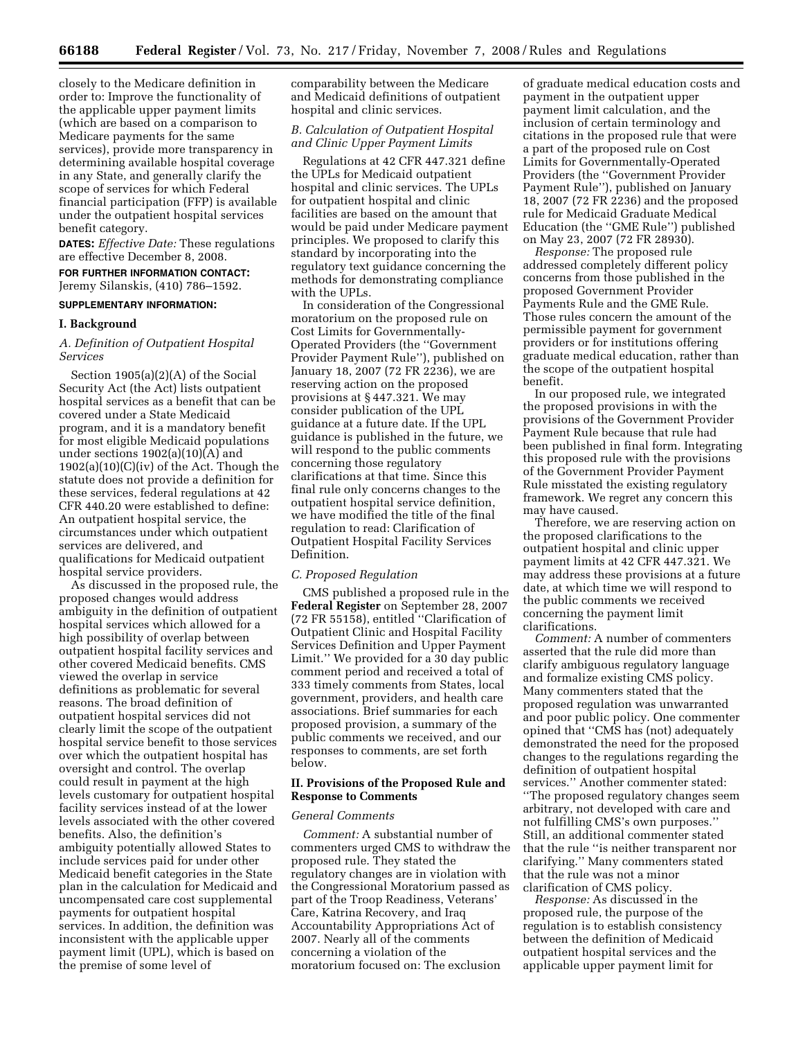closely to the Medicare definition in order to: Improve the functionality of the applicable upper payment limits (which are based on a comparison to Medicare payments for the same services), provide more transparency in determining available hospital coverage in any State, and generally clarify the scope of services for which Federal financial participation (FFP) is available under the outpatient hospital services benefit category.

**DATES:** *Effective Date:* These regulations are effective December 8, 2008.

# **FOR FURTHER INFORMATION CONTACT:**

Jeremy Silanskis, (410) 786–1592.

# **SUPPLEMENTARY INFORMATION:**

# **I. Background**

# *A. Definition of Outpatient Hospital Services*

Section 1905(a)(2)(A) of the Social Security Act (the Act) lists outpatient hospital services as a benefit that can be covered under a State Medicaid program, and it is a mandatory benefit for most eligible Medicaid populations under sections 1902(a)(10)(A) and  $1902(a)(10)(C)(iv)$  of the Act. Though the statute does not provide a definition for these services, federal regulations at 42 CFR 440.20 were established to define: An outpatient hospital service, the circumstances under which outpatient services are delivered, and qualifications for Medicaid outpatient hospital service providers.

As discussed in the proposed rule, the proposed changes would address ambiguity in the definition of outpatient hospital services which allowed for a high possibility of overlap between outpatient hospital facility services and other covered Medicaid benefits. CMS viewed the overlap in service definitions as problematic for several reasons. The broad definition of outpatient hospital services did not clearly limit the scope of the outpatient hospital service benefit to those services over which the outpatient hospital has oversight and control. The overlap could result in payment at the high levels customary for outpatient hospital facility services instead of at the lower levels associated with the other covered benefits. Also, the definition's ambiguity potentially allowed States to include services paid for under other Medicaid benefit categories in the State plan in the calculation for Medicaid and uncompensated care cost supplemental payments for outpatient hospital services. In addition, the definition was inconsistent with the applicable upper payment limit (UPL), which is based on the premise of some level of

comparability between the Medicare and Medicaid definitions of outpatient hospital and clinic services.

# *B. Calculation of Outpatient Hospital and Clinic Upper Payment Limits*

Regulations at 42 CFR 447.321 define the UPLs for Medicaid outpatient hospital and clinic services. The UPLs for outpatient hospital and clinic facilities are based on the amount that would be paid under Medicare payment principles. We proposed to clarify this standard by incorporating into the regulatory text guidance concerning the methods for demonstrating compliance with the UPLs.

In consideration of the Congressional moratorium on the proposed rule on Cost Limits for Governmentally-Operated Providers (the ''Government Provider Payment Rule''), published on January 18, 2007 (72 FR 2236), we are reserving action on the proposed provisions at § 447.321. We may consider publication of the UPL guidance at a future date. If the UPL guidance is published in the future, we will respond to the public comments concerning those regulatory clarifications at that time. Since this final rule only concerns changes to the outpatient hospital service definition, we have modified the title of the final regulation to read: Clarification of Outpatient Hospital Facility Services Definition.

# *C. Proposed Regulation*

CMS published a proposed rule in the **Federal Register** on September 28, 2007 (72 FR 55158), entitled ''Clarification of Outpatient Clinic and Hospital Facility Services Definition and Upper Payment Limit.'' We provided for a 30 day public comment period and received a total of 333 timely comments from States, local government, providers, and health care associations. Brief summaries for each proposed provision, a summary of the public comments we received, and our responses to comments, are set forth below.

#### **II. Provisions of the Proposed Rule and Response to Comments**

#### *General Comments*

*Comment:* A substantial number of commenters urged CMS to withdraw the proposed rule. They stated the regulatory changes are in violation with the Congressional Moratorium passed as part of the Troop Readiness, Veterans' Care, Katrina Recovery, and Iraq Accountability Appropriations Act of 2007. Nearly all of the comments concerning a violation of the moratorium focused on: The exclusion

of graduate medical education costs and payment in the outpatient upper payment limit calculation, and the inclusion of certain terminology and citations in the proposed rule that were a part of the proposed rule on Cost Limits for Governmentally-Operated Providers (the ''Government Provider Payment Rule''), published on January 18, 2007 (72 FR 2236) and the proposed rule for Medicaid Graduate Medical Education (the ''GME Rule'') published on May 23, 2007 (72 FR 28930).

*Response:* The proposed rule addressed completely different policy concerns from those published in the proposed Government Provider Payments Rule and the GME Rule. Those rules concern the amount of the permissible payment for government providers or for institutions offering graduate medical education, rather than the scope of the outpatient hospital benefit.

In our proposed rule, we integrated the proposed provisions in with the provisions of the Government Provider Payment Rule because that rule had been published in final form. Integrating this proposed rule with the provisions of the Government Provider Payment Rule misstated the existing regulatory framework. We regret any concern this may have caused.

Therefore, we are reserving action on the proposed clarifications to the outpatient hospital and clinic upper payment limits at 42 CFR 447.321. We may address these provisions at a future date, at which time we will respond to the public comments we received concerning the payment limit clarifications.

*Comment:* A number of commenters asserted that the rule did more than clarify ambiguous regulatory language and formalize existing CMS policy. Many commenters stated that the proposed regulation was unwarranted and poor public policy. One commenter opined that ''CMS has (not) adequately demonstrated the need for the proposed changes to the regulations regarding the definition of outpatient hospital services.'' Another commenter stated: ''The proposed regulatory changes seem arbitrary, not developed with care and not fulfilling CMS's own purposes.'' Still, an additional commenter stated that the rule ''is neither transparent nor clarifying.'' Many commenters stated that the rule was not a minor clarification of CMS policy.

*Response:* As discussed in the proposed rule, the purpose of the regulation is to establish consistency between the definition of Medicaid outpatient hospital services and the applicable upper payment limit for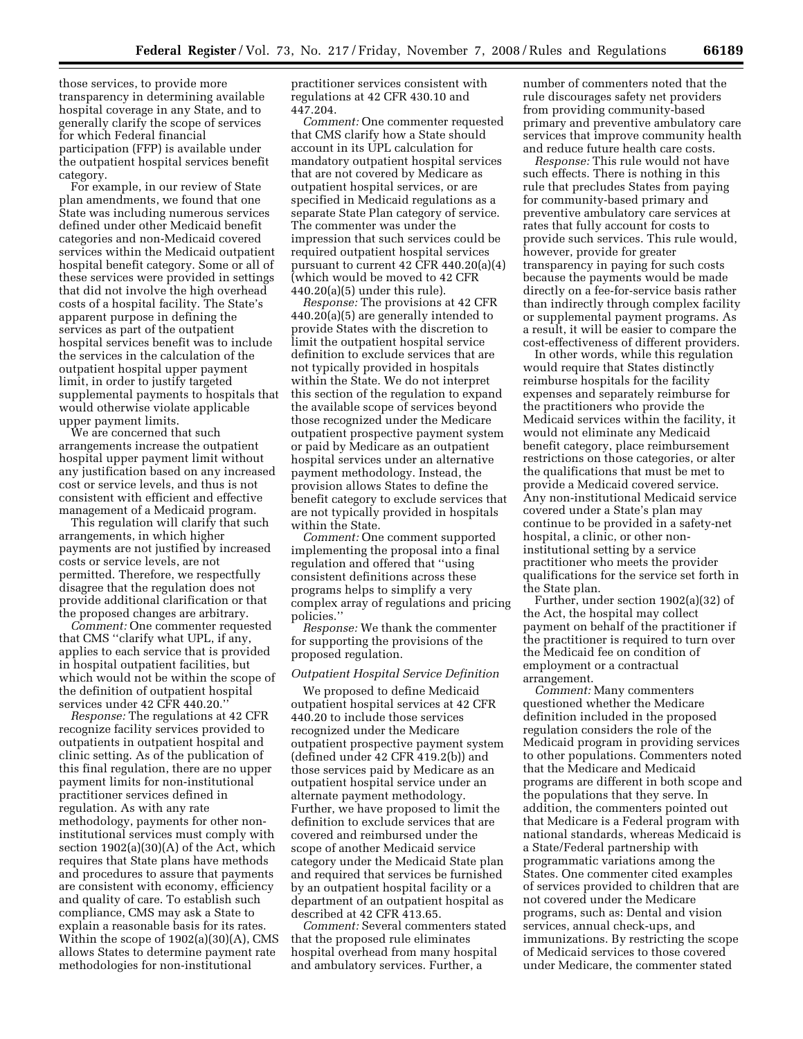those services, to provide more transparency in determining available hospital coverage in any State, and to generally clarify the scope of services for which Federal financial participation (FFP) is available under the outpatient hospital services benefit category.

For example, in our review of State plan amendments, we found that one State was including numerous services defined under other Medicaid benefit categories and non-Medicaid covered services within the Medicaid outpatient hospital benefit category. Some or all of these services were provided in settings that did not involve the high overhead costs of a hospital facility. The State's apparent purpose in defining the services as part of the outpatient hospital services benefit was to include the services in the calculation of the outpatient hospital upper payment limit, in order to justify targeted supplemental payments to hospitals that would otherwise violate applicable upper payment limits.

We are concerned that such arrangements increase the outpatient hospital upper payment limit without any justification based on any increased cost or service levels, and thus is not consistent with efficient and effective management of a Medicaid program.

This regulation will clarify that such arrangements, in which higher payments are not justified by increased costs or service levels, are not permitted. Therefore, we respectfully disagree that the regulation does not provide additional clarification or that the proposed changes are arbitrary.

*Comment:* One commenter requested that CMS ''clarify what UPL, if any, applies to each service that is provided in hospital outpatient facilities, but which would not be within the scope of the definition of outpatient hospital services under 42 CFR 440.20.''

*Response:* The regulations at 42 CFR recognize facility services provided to outpatients in outpatient hospital and clinic setting. As of the publication of this final regulation, there are no upper payment limits for non-institutional practitioner services defined in regulation. As with any rate methodology, payments for other noninstitutional services must comply with section 1902(a)(30)(A) of the Act, which requires that State plans have methods and procedures to assure that payments are consistent with economy, efficiency and quality of care. To establish such compliance, CMS may ask a State to explain a reasonable basis for its rates. Within the scope of 1902(a)(30)(A), CMS allows States to determine payment rate methodologies for non-institutional

practitioner services consistent with regulations at 42 CFR 430.10 and 447.204.

*Comment:* One commenter requested that CMS clarify how a State should account in its UPL calculation for mandatory outpatient hospital services that are not covered by Medicare as outpatient hospital services, or are specified in Medicaid regulations as a separate State Plan category of service. The commenter was under the impression that such services could be required outpatient hospital services pursuant to current 42 CFR 440.20(a)(4) (which would be moved to 42 CFR 440.20(a)(5) under this rule).

*Response:* The provisions at 42 CFR 440.20(a)(5) are generally intended to provide States with the discretion to limit the outpatient hospital service definition to exclude services that are not typically provided in hospitals within the State. We do not interpret this section of the regulation to expand the available scope of services beyond those recognized under the Medicare outpatient prospective payment system or paid by Medicare as an outpatient hospital services under an alternative payment methodology. Instead, the provision allows States to define the benefit category to exclude services that are not typically provided in hospitals within the State.

*Comment:* One comment supported implementing the proposal into a final regulation and offered that ''using consistent definitions across these programs helps to simplify a very complex array of regulations and pricing policies.''

*Response:* We thank the commenter for supporting the provisions of the proposed regulation.

#### *Outpatient Hospital Service Definition*

We proposed to define Medicaid outpatient hospital services at 42 CFR 440.20 to include those services recognized under the Medicare outpatient prospective payment system (defined under 42 CFR 419.2(b)) and those services paid by Medicare as an outpatient hospital service under an alternate payment methodology. Further, we have proposed to limit the definition to exclude services that are covered and reimbursed under the scope of another Medicaid service category under the Medicaid State plan and required that services be furnished by an outpatient hospital facility or a department of an outpatient hospital as described at 42 CFR 413.65.

*Comment:* Several commenters stated that the proposed rule eliminates hospital overhead from many hospital and ambulatory services. Further, a

number of commenters noted that the rule discourages safety net providers from providing community-based primary and preventive ambulatory care services that improve community health and reduce future health care costs.

*Response:* This rule would not have such effects. There is nothing in this rule that precludes States from paying for community-based primary and preventive ambulatory care services at rates that fully account for costs to provide such services. This rule would, however, provide for greater transparency in paying for such costs because the payments would be made directly on a fee-for-service basis rather than indirectly through complex facility or supplemental payment programs. As a result, it will be easier to compare the cost-effectiveness of different providers.

In other words, while this regulation would require that States distinctly reimburse hospitals for the facility expenses and separately reimburse for the practitioners who provide the Medicaid services within the facility, it would not eliminate any Medicaid benefit category, place reimbursement restrictions on those categories, or alter the qualifications that must be met to provide a Medicaid covered service. Any non-institutional Medicaid service covered under a State's plan may continue to be provided in a safety-net hospital, a clinic, or other noninstitutional setting by a service practitioner who meets the provider qualifications for the service set forth in the State plan.

Further, under section 1902(a)(32) of the Act, the hospital may collect payment on behalf of the practitioner if the practitioner is required to turn over the Medicaid fee on condition of employment or a contractual arrangement.

*Comment:* Many commenters questioned whether the Medicare definition included in the proposed regulation considers the role of the Medicaid program in providing services to other populations. Commenters noted that the Medicare and Medicaid programs are different in both scope and the populations that they serve. In addition, the commenters pointed out that Medicare is a Federal program with national standards, whereas Medicaid is a State/Federal partnership with programmatic variations among the States. One commenter cited examples of services provided to children that are not covered under the Medicare programs, such as: Dental and vision services, annual check-ups, and immunizations. By restricting the scope of Medicaid services to those covered under Medicare, the commenter stated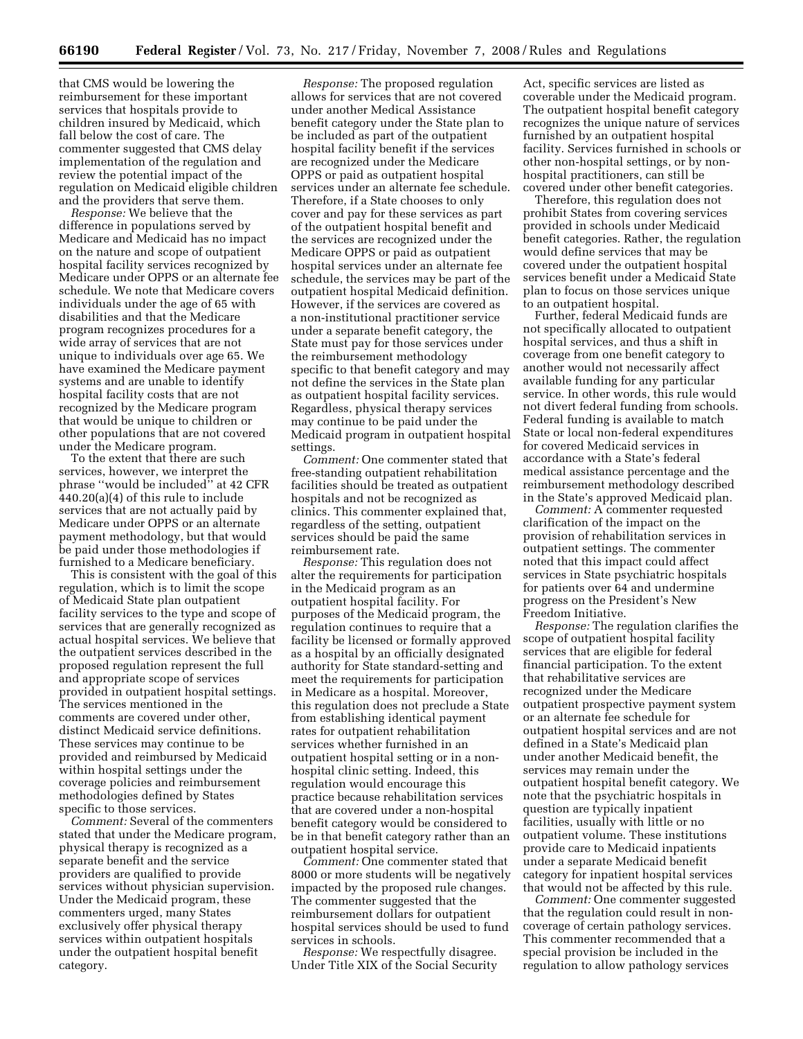that CMS would be lowering the reimbursement for these important services that hospitals provide to children insured by Medicaid, which fall below the cost of care. The commenter suggested that CMS delay implementation of the regulation and review the potential impact of the regulation on Medicaid eligible children and the providers that serve them.

*Response:* We believe that the difference in populations served by Medicare and Medicaid has no impact on the nature and scope of outpatient hospital facility services recognized by Medicare under OPPS or an alternate fee schedule. We note that Medicare covers individuals under the age of 65 with disabilities and that the Medicare program recognizes procedures for a wide array of services that are not unique to individuals over age 65. We have examined the Medicare payment systems and are unable to identify hospital facility costs that are not recognized by the Medicare program that would be unique to children or other populations that are not covered under the Medicare program.

To the extent that there are such services, however, we interpret the phrase ''would be included'' at 42 CFR 440.20(a)(4) of this rule to include services that are not actually paid by Medicare under OPPS or an alternate payment methodology, but that would be paid under those methodologies if furnished to a Medicare beneficiary.

This is consistent with the goal of this regulation, which is to limit the scope of Medicaid State plan outpatient facility services to the type and scope of services that are generally recognized as actual hospital services. We believe that the outpatient services described in the proposed regulation represent the full and appropriate scope of services provided in outpatient hospital settings. The services mentioned in the comments are covered under other, distinct Medicaid service definitions. These services may continue to be provided and reimbursed by Medicaid within hospital settings under the coverage policies and reimbursement methodologies defined by States specific to those services.

*Comment:* Several of the commenters stated that under the Medicare program, physical therapy is recognized as a separate benefit and the service providers are qualified to provide services without physician supervision. Under the Medicaid program, these commenters urged, many States exclusively offer physical therapy services within outpatient hospitals under the outpatient hospital benefit category.

*Response:* The proposed regulation allows for services that are not covered under another Medical Assistance benefit category under the State plan to be included as part of the outpatient hospital facility benefit if the services are recognized under the Medicare OPPS or paid as outpatient hospital services under an alternate fee schedule. Therefore, if a State chooses to only cover and pay for these services as part of the outpatient hospital benefit and the services are recognized under the Medicare OPPS or paid as outpatient hospital services under an alternate fee schedule, the services may be part of the outpatient hospital Medicaid definition. However, if the services are covered as a non-institutional practitioner service under a separate benefit category, the State must pay for those services under the reimbursement methodology specific to that benefit category and may not define the services in the State plan as outpatient hospital facility services. Regardless, physical therapy services may continue to be paid under the Medicaid program in outpatient hospital settings.

*Comment:* One commenter stated that free-standing outpatient rehabilitation facilities should be treated as outpatient hospitals and not be recognized as clinics. This commenter explained that, regardless of the setting, outpatient services should be paid the same reimbursement rate.

*Response:* This regulation does not alter the requirements for participation in the Medicaid program as an outpatient hospital facility. For purposes of the Medicaid program, the regulation continues to require that a facility be licensed or formally approved as a hospital by an officially designated authority for State standard-setting and meet the requirements for participation in Medicare as a hospital. Moreover, this regulation does not preclude a State from establishing identical payment rates for outpatient rehabilitation services whether furnished in an outpatient hospital setting or in a nonhospital clinic setting. Indeed, this regulation would encourage this practice because rehabilitation services that are covered under a non-hospital benefit category would be considered to be in that benefit category rather than an outpatient hospital service.

*Comment:* One commenter stated that 8000 or more students will be negatively impacted by the proposed rule changes. The commenter suggested that the reimbursement dollars for outpatient hospital services should be used to fund services in schools.

*Response:* We respectfully disagree. Under Title XIX of the Social Security Act, specific services are listed as coverable under the Medicaid program. The outpatient hospital benefit category recognizes the unique nature of services furnished by an outpatient hospital facility. Services furnished in schools or other non-hospital settings, or by nonhospital practitioners, can still be covered under other benefit categories.

Therefore, this regulation does not prohibit States from covering services provided in schools under Medicaid benefit categories. Rather, the regulation would define services that may be covered under the outpatient hospital services benefit under a Medicaid State plan to focus on those services unique to an outpatient hospital.

Further, federal Medicaid funds are not specifically allocated to outpatient hospital services, and thus a shift in coverage from one benefit category to another would not necessarily affect available funding for any particular service. In other words, this rule would not divert federal funding from schools. Federal funding is available to match State or local non-federal expenditures for covered Medicaid services in accordance with a State's federal medical assistance percentage and the reimbursement methodology described in the State's approved Medicaid plan.

*Comment:* A commenter requested clarification of the impact on the provision of rehabilitation services in outpatient settings. The commenter noted that this impact could affect services in State psychiatric hospitals for patients over 64 and undermine progress on the President's New Freedom Initiative.

*Response:* The regulation clarifies the scope of outpatient hospital facility services that are eligible for federal financial participation. To the extent that rehabilitative services are recognized under the Medicare outpatient prospective payment system or an alternate fee schedule for outpatient hospital services and are not defined in a State's Medicaid plan under another Medicaid benefit, the services may remain under the outpatient hospital benefit category. We note that the psychiatric hospitals in question are typically inpatient facilities, usually with little or no outpatient volume. These institutions provide care to Medicaid inpatients under a separate Medicaid benefit category for inpatient hospital services that would not be affected by this rule.

*Comment:* One commenter suggested that the regulation could result in noncoverage of certain pathology services. This commenter recommended that a special provision be included in the regulation to allow pathology services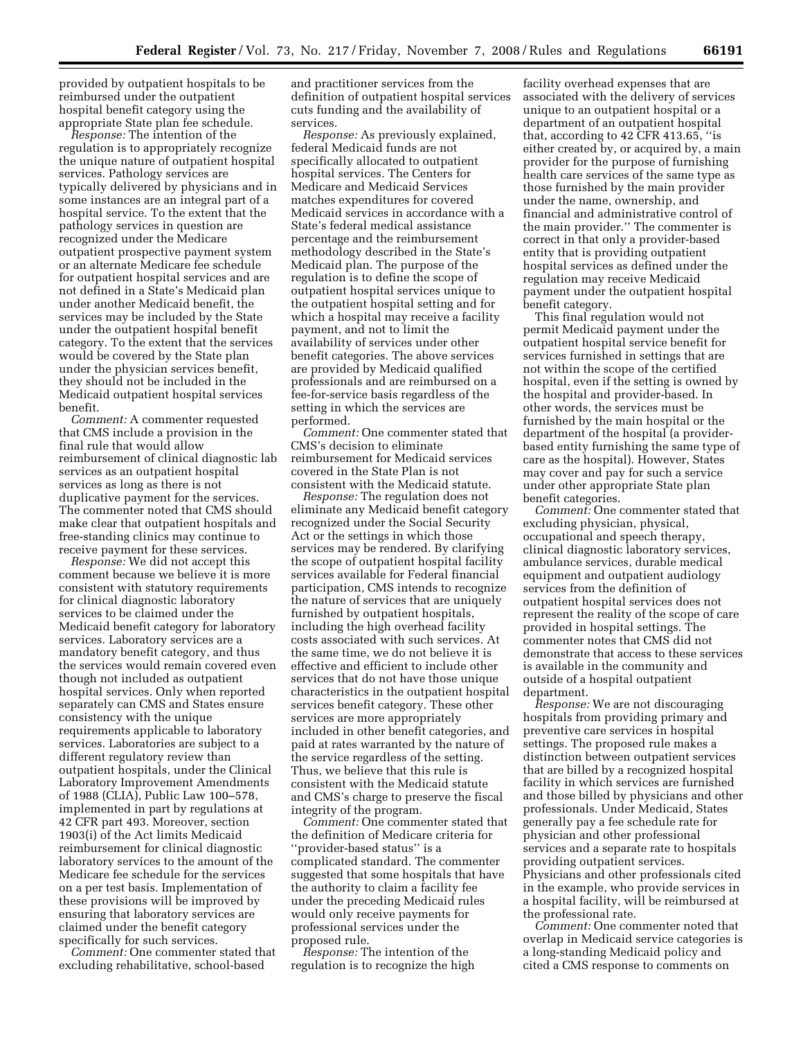provided by outpatient hospitals to be reimbursed under the outpatient hospital benefit category using the appropriate State plan fee schedule.

*Response:* The intention of the regulation is to appropriately recognize the unique nature of outpatient hospital services. Pathology services are typically delivered by physicians and in some instances are an integral part of a hospital service. To the extent that the pathology services in question are recognized under the Medicare outpatient prospective payment system or an alternate Medicare fee schedule for outpatient hospital services and are not defined in a State's Medicaid plan under another Medicaid benefit, the services may be included by the State under the outpatient hospital benefit category. To the extent that the services would be covered by the State plan under the physician services benefit, they should not be included in the Medicaid outpatient hospital services benefit.

*Comment:* A commenter requested that CMS include a provision in the final rule that would allow reimbursement of clinical diagnostic lab services as an outpatient hospital services as long as there is not duplicative payment for the services. The commenter noted that CMS should make clear that outpatient hospitals and free-standing clinics may continue to receive payment for these services.

*Response:* We did not accept this comment because we believe it is more consistent with statutory requirements for clinical diagnostic laboratory services to be claimed under the Medicaid benefit category for laboratory services. Laboratory services are a mandatory benefit category, and thus the services would remain covered even though not included as outpatient hospital services. Only when reported separately can CMS and States ensure consistency with the unique requirements applicable to laboratory services. Laboratories are subject to a different regulatory review than outpatient hospitals, under the Clinical Laboratory Improvement Amendments of 1988 (CLIA), Public Law 100–578, implemented in part by regulations at 42 CFR part 493. Moreover, section 1903(i) of the Act limits Medicaid reimbursement for clinical diagnostic laboratory services to the amount of the Medicare fee schedule for the services on a per test basis. Implementation of these provisions will be improved by ensuring that laboratory services are claimed under the benefit category specifically for such services.

*Comment:* One commenter stated that excluding rehabilitative, school-based

and practitioner services from the definition of outpatient hospital services cuts funding and the availability of services.

*Response:* As previously explained, federal Medicaid funds are not specifically allocated to outpatient hospital services. The Centers for Medicare and Medicaid Services matches expenditures for covered Medicaid services in accordance with a State's federal medical assistance percentage and the reimbursement methodology described in the State's Medicaid plan. The purpose of the regulation is to define the scope of outpatient hospital services unique to the outpatient hospital setting and for which a hospital may receive a facility payment, and not to limit the availability of services under other benefit categories. The above services are provided by Medicaid qualified professionals and are reimbursed on a fee-for-service basis regardless of the setting in which the services are performed.

*Comment:* One commenter stated that CMS's decision to eliminate reimbursement for Medicaid services covered in the State Plan is not consistent with the Medicaid statute.

*Response:* The regulation does not eliminate any Medicaid benefit category recognized under the Social Security Act or the settings in which those services may be rendered. By clarifying the scope of outpatient hospital facility services available for Federal financial participation, CMS intends to recognize the nature of services that are uniquely furnished by outpatient hospitals, including the high overhead facility costs associated with such services. At the same time, we do not believe it is effective and efficient to include other services that do not have those unique characteristics in the outpatient hospital services benefit category. These other services are more appropriately included in other benefit categories, and paid at rates warranted by the nature of the service regardless of the setting. Thus, we believe that this rule is consistent with the Medicaid statute and CMS's charge to preserve the fiscal integrity of the program.

*Comment:* One commenter stated that the definition of Medicare criteria for ''provider-based status'' is a complicated standard. The commenter suggested that some hospitals that have the authority to claim a facility fee under the preceding Medicaid rules would only receive payments for professional services under the proposed rule.

*Response:* The intention of the regulation is to recognize the high

facility overhead expenses that are associated with the delivery of services unique to an outpatient hospital or a department of an outpatient hospital that, according to 42 CFR 413.65, ''is either created by, or acquired by, a main provider for the purpose of furnishing health care services of the same type as those furnished by the main provider under the name, ownership, and financial and administrative control of the main provider.'' The commenter is correct in that only a provider-based entity that is providing outpatient hospital services as defined under the regulation may receive Medicaid payment under the outpatient hospital benefit category.

This final regulation would not permit Medicaid payment under the outpatient hospital service benefit for services furnished in settings that are not within the scope of the certified hospital, even if the setting is owned by the hospital and provider-based. In other words, the services must be furnished by the main hospital or the department of the hospital (a providerbased entity furnishing the same type of care as the hospital). However, States may cover and pay for such a service under other appropriate State plan benefit categories.

*Comment:* One commenter stated that excluding physician, physical, occupational and speech therapy, clinical diagnostic laboratory services, ambulance services, durable medical equipment and outpatient audiology services from the definition of outpatient hospital services does not represent the reality of the scope of care provided in hospital settings. The commenter notes that CMS did not demonstrate that access to these services is available in the community and outside of a hospital outpatient department.

*Response:* We are not discouraging hospitals from providing primary and preventive care services in hospital settings. The proposed rule makes a distinction between outpatient services that are billed by a recognized hospital facility in which services are furnished and those billed by physicians and other professionals. Under Medicaid, States generally pay a fee schedule rate for physician and other professional services and a separate rate to hospitals providing outpatient services. Physicians and other professionals cited in the example, who provide services in a hospital facility, will be reimbursed at the professional rate.

*Comment:* One commenter noted that overlap in Medicaid service categories is a long-standing Medicaid policy and cited a CMS response to comments on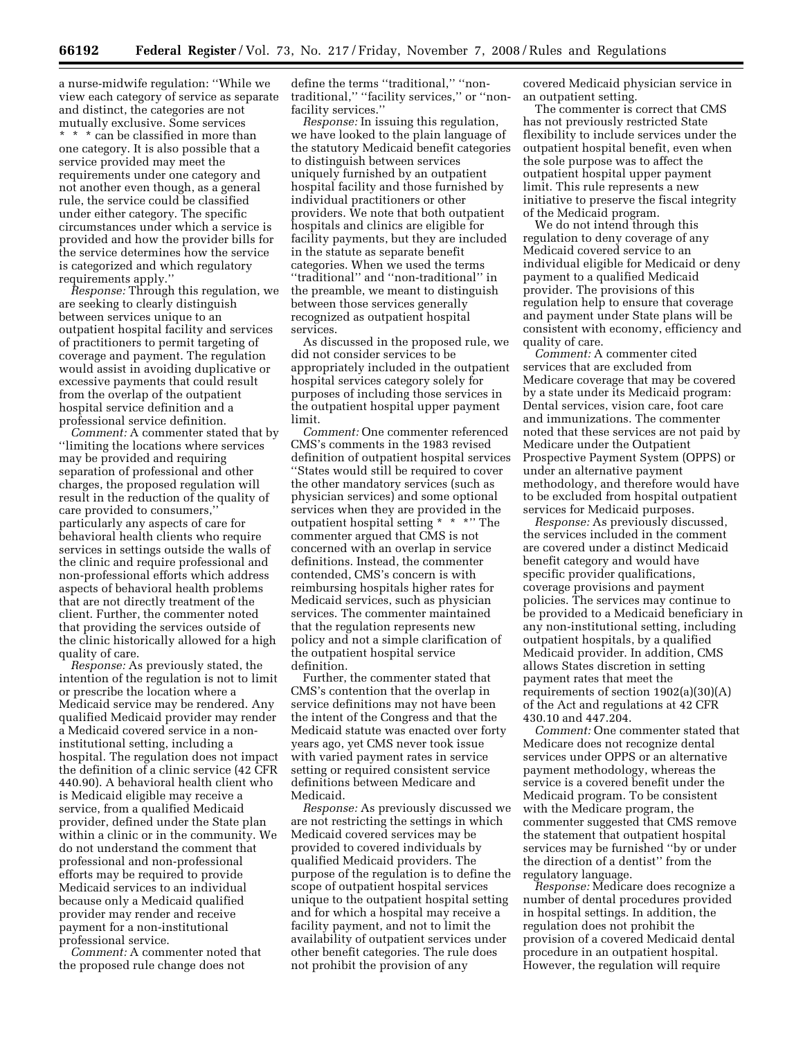a nurse-midwife regulation: ''While we view each category of service as separate and distinct, the categories are not mutually exclusive. Some services \* \* \* can be classified in more than one category. It is also possible that a service provided may meet the requirements under one category and not another even though, as a general rule, the service could be classified under either category. The specific circumstances under which a service is provided and how the provider bills for the service determines how the service is categorized and which regulatory requirements apply.''

*Response:* Through this regulation, we are seeking to clearly distinguish between services unique to an outpatient hospital facility and services of practitioners to permit targeting of coverage and payment. The regulation would assist in avoiding duplicative or excessive payments that could result from the overlap of the outpatient hospital service definition and a professional service definition.

*Comment:* A commenter stated that by ''limiting the locations where services may be provided and requiring separation of professional and other charges, the proposed regulation will result in the reduction of the quality of care provided to consumers,'' particularly any aspects of care for behavioral health clients who require services in settings outside the walls of the clinic and require professional and non-professional efforts which address aspects of behavioral health problems that are not directly treatment of the client. Further, the commenter noted that providing the services outside of the clinic historically allowed for a high quality of care.

*Response:* As previously stated, the intention of the regulation is not to limit or prescribe the location where a Medicaid service may be rendered. Any qualified Medicaid provider may render a Medicaid covered service in a noninstitutional setting, including a hospital. The regulation does not impact the definition of a clinic service (42 CFR 440.90). A behavioral health client who is Medicaid eligible may receive a service, from a qualified Medicaid provider, defined under the State plan within a clinic or in the community. We do not understand the comment that professional and non-professional efforts may be required to provide Medicaid services to an individual because only a Medicaid qualified provider may render and receive payment for a non-institutional professional service.

*Comment:* A commenter noted that the proposed rule change does not

define the terms "traditional," "nontraditional,'' ''facility services,'' or ''nonfacility services.''

*Response:* In issuing this regulation, we have looked to the plain language of the statutory Medicaid benefit categories to distinguish between services uniquely furnished by an outpatient hospital facility and those furnished by individual practitioners or other providers. We note that both outpatient hospitals and clinics are eligible for facility payments, but they are included in the statute as separate benefit categories. When we used the terms ''traditional'' and ''non-traditional'' in the preamble, we meant to distinguish between those services generally recognized as outpatient hospital services.

As discussed in the proposed rule, we did not consider services to be appropriately included in the outpatient hospital services category solely for purposes of including those services in the outpatient hospital upper payment limit.

*Comment:* One commenter referenced CMS's comments in the 1983 revised definition of outpatient hospital services ''States would still be required to cover the other mandatory services (such as physician services) and some optional services when they are provided in the outpatient hospital setting \* \* \*'' The commenter argued that CMS is not concerned with an overlap in service definitions. Instead, the commenter contended, CMS's concern is with reimbursing hospitals higher rates for Medicaid services, such as physician services. The commenter maintained that the regulation represents new policy and not a simple clarification of the outpatient hospital service definition.

Further, the commenter stated that CMS's contention that the overlap in service definitions may not have been the intent of the Congress and that the Medicaid statute was enacted over forty years ago, yet CMS never took issue with varied payment rates in service setting or required consistent service definitions between Medicare and Medicaid.

*Response:* As previously discussed we are not restricting the settings in which Medicaid covered services may be provided to covered individuals by qualified Medicaid providers. The purpose of the regulation is to define the scope of outpatient hospital services unique to the outpatient hospital setting and for which a hospital may receive a facility payment, and not to limit the availability of outpatient services under other benefit categories. The rule does not prohibit the provision of any

covered Medicaid physician service in an outpatient setting.

The commenter is correct that CMS has not previously restricted State flexibility to include services under the outpatient hospital benefit, even when the sole purpose was to affect the outpatient hospital upper payment limit. This rule represents a new initiative to preserve the fiscal integrity of the Medicaid program.

We do not intend through this regulation to deny coverage of any Medicaid covered service to an individual eligible for Medicaid or deny payment to a qualified Medicaid provider. The provisions of this regulation help to ensure that coverage and payment under State plans will be consistent with economy, efficiency and quality of care.

*Comment:* A commenter cited services that are excluded from Medicare coverage that may be covered by a state under its Medicaid program: Dental services, vision care, foot care and immunizations. The commenter noted that these services are not paid by Medicare under the Outpatient Prospective Payment System (OPPS) or under an alternative payment methodology, and therefore would have to be excluded from hospital outpatient services for Medicaid purposes.

*Response:* As previously discussed, the services included in the comment are covered under a distinct Medicaid benefit category and would have specific provider qualifications, coverage provisions and payment policies. The services may continue to be provided to a Medicaid beneficiary in any non-institutional setting, including outpatient hospitals, by a qualified Medicaid provider. In addition, CMS allows States discretion in setting payment rates that meet the requirements of section 1902(a)(30)(A) of the Act and regulations at 42 CFR 430.10 and 447.204.

*Comment:* One commenter stated that Medicare does not recognize dental services under OPPS or an alternative payment methodology, whereas the service is a covered benefit under the Medicaid program. To be consistent with the Medicare program, the commenter suggested that CMS remove the statement that outpatient hospital services may be furnished ''by or under the direction of a dentist'' from the regulatory language.

*Response:* Medicare does recognize a number of dental procedures provided in hospital settings. In addition, the regulation does not prohibit the provision of a covered Medicaid dental procedure in an outpatient hospital. However, the regulation will require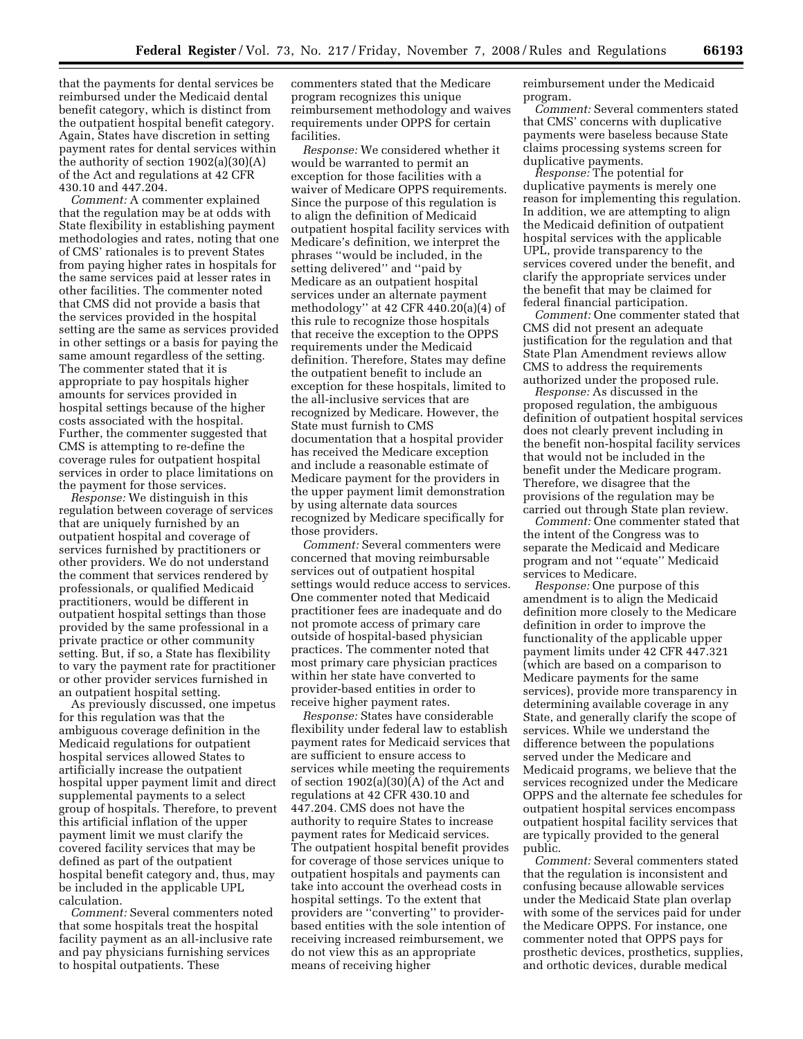that the payments for dental services be reimbursed under the Medicaid dental benefit category, which is distinct from the outpatient hospital benefit category. Again, States have discretion in setting payment rates for dental services within the authority of section 1902(a)(30)(A) of the Act and regulations at 42 CFR 430.10 and 447.204.

*Comment:* A commenter explained that the regulation may be at odds with State flexibility in establishing payment methodologies and rates, noting that one of CMS' rationales is to prevent States from paying higher rates in hospitals for the same services paid at lesser rates in other facilities. The commenter noted that CMS did not provide a basis that the services provided in the hospital setting are the same as services provided in other settings or a basis for paying the same amount regardless of the setting. The commenter stated that it is appropriate to pay hospitals higher amounts for services provided in hospital settings because of the higher costs associated with the hospital. Further, the commenter suggested that CMS is attempting to re-define the coverage rules for outpatient hospital services in order to place limitations on the payment for those services.

*Response:* We distinguish in this regulation between coverage of services that are uniquely furnished by an outpatient hospital and coverage of services furnished by practitioners or other providers. We do not understand the comment that services rendered by professionals, or qualified Medicaid practitioners, would be different in outpatient hospital settings than those provided by the same professional in a private practice or other community setting. But, if so, a State has flexibility to vary the payment rate for practitioner or other provider services furnished in an outpatient hospital setting.

As previously discussed, one impetus for this regulation was that the ambiguous coverage definition in the Medicaid regulations for outpatient hospital services allowed States to artificially increase the outpatient hospital upper payment limit and direct supplemental payments to a select group of hospitals. Therefore, to prevent this artificial inflation of the upper payment limit we must clarify the covered facility services that may be defined as part of the outpatient hospital benefit category and, thus, may be included in the applicable UPL calculation.

*Comment:* Several commenters noted that some hospitals treat the hospital facility payment as an all-inclusive rate and pay physicians furnishing services to hospital outpatients. These

commenters stated that the Medicare program recognizes this unique reimbursement methodology and waives requirements under OPPS for certain facilities.

*Response:* We considered whether it would be warranted to permit an exception for those facilities with a waiver of Medicare OPPS requirements. Since the purpose of this regulation is to align the definition of Medicaid outpatient hospital facility services with Medicare's definition, we interpret the phrases ''would be included, in the setting delivered'' and ''paid by Medicare as an outpatient hospital services under an alternate payment methodology'' at 42 CFR 440.20(a)(4) of this rule to recognize those hospitals that receive the exception to the OPPS requirements under the Medicaid definition. Therefore, States may define the outpatient benefit to include an exception for these hospitals, limited to the all-inclusive services that are recognized by Medicare. However, the State must furnish to CMS documentation that a hospital provider has received the Medicare exception and include a reasonable estimate of Medicare payment for the providers in the upper payment limit demonstration by using alternate data sources recognized by Medicare specifically for those providers.

*Comment:* Several commenters were concerned that moving reimbursable services out of outpatient hospital settings would reduce access to services. One commenter noted that Medicaid practitioner fees are inadequate and do not promote access of primary care outside of hospital-based physician practices. The commenter noted that most primary care physician practices within her state have converted to provider-based entities in order to receive higher payment rates.

*Response:* States have considerable flexibility under federal law to establish payment rates for Medicaid services that are sufficient to ensure access to services while meeting the requirements of section 1902(a)(30)(A) of the Act and regulations at 42 CFR 430.10 and 447.204. CMS does not have the authority to require States to increase payment rates for Medicaid services. The outpatient hospital benefit provides for coverage of those services unique to outpatient hospitals and payments can take into account the overhead costs in hospital settings. To the extent that providers are ''converting'' to providerbased entities with the sole intention of receiving increased reimbursement, we do not view this as an appropriate means of receiving higher

reimbursement under the Medicaid program.

*Comment:* Several commenters stated that CMS' concerns with duplicative payments were baseless because State claims processing systems screen for duplicative payments.

*Response:* The potential for duplicative payments is merely one reason for implementing this regulation. In addition, we are attempting to align the Medicaid definition of outpatient hospital services with the applicable UPL, provide transparency to the services covered under the benefit, and clarify the appropriate services under the benefit that may be claimed for federal financial participation.

*Comment:* One commenter stated that CMS did not present an adequate justification for the regulation and that State Plan Amendment reviews allow CMS to address the requirements authorized under the proposed rule.

*Response:* As discussed in the proposed regulation, the ambiguous definition of outpatient hospital services does not clearly prevent including in the benefit non-hospital facility services that would not be included in the benefit under the Medicare program. Therefore, we disagree that the provisions of the regulation may be carried out through State plan review.

*Comment:* One commenter stated that the intent of the Congress was to separate the Medicaid and Medicare program and not ''equate'' Medicaid services to Medicare.

*Response:* One purpose of this amendment is to align the Medicaid definition more closely to the Medicare definition in order to improve the functionality of the applicable upper payment limits under 42 CFR 447.321 (which are based on a comparison to Medicare payments for the same services), provide more transparency in determining available coverage in any State, and generally clarify the scope of services. While we understand the difference between the populations served under the Medicare and Medicaid programs, we believe that the services recognized under the Medicare OPPS and the alternate fee schedules for outpatient hospital services encompass outpatient hospital facility services that are typically provided to the general public.

*Comment:* Several commenters stated that the regulation is inconsistent and confusing because allowable services under the Medicaid State plan overlap with some of the services paid for under the Medicare OPPS. For instance, one commenter noted that OPPS pays for prosthetic devices, prosthetics, supplies, and orthotic devices, durable medical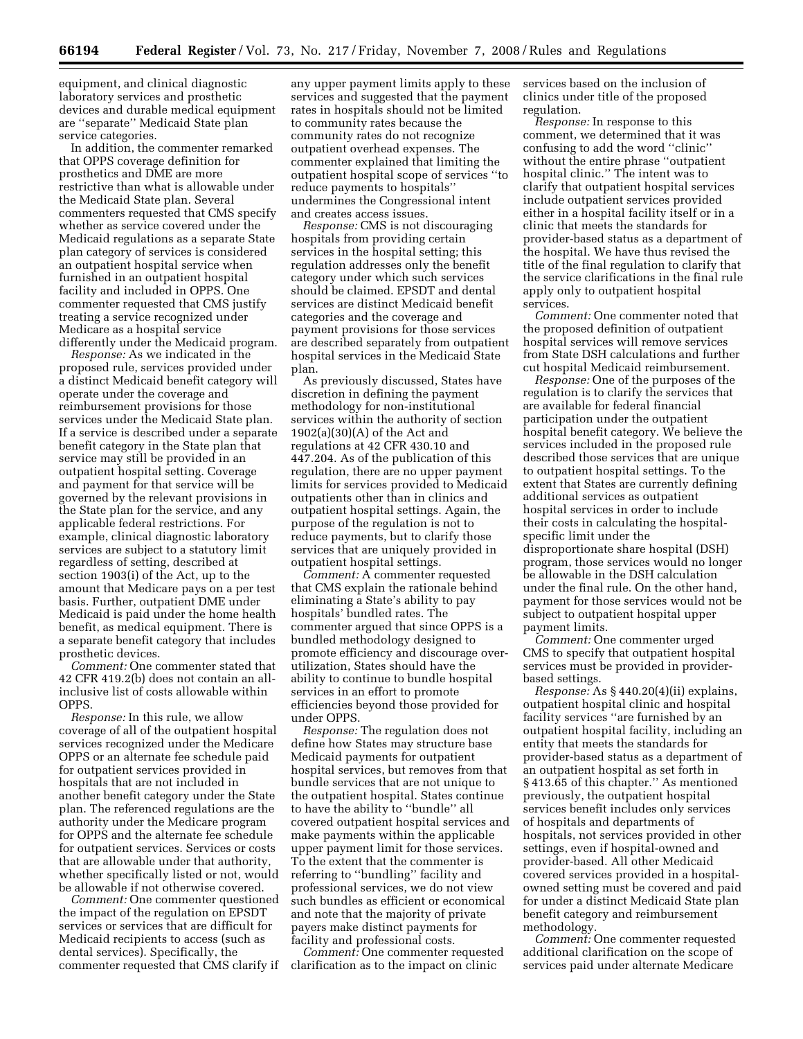equipment, and clinical diagnostic laboratory services and prosthetic devices and durable medical equipment are ''separate'' Medicaid State plan service categories.

In addition, the commenter remarked that OPPS coverage definition for prosthetics and DME are more restrictive than what is allowable under the Medicaid State plan. Several commenters requested that CMS specify whether as service covered under the Medicaid regulations as a separate State plan category of services is considered an outpatient hospital service when furnished in an outpatient hospital facility and included in OPPS. One commenter requested that CMS justify treating a service recognized under Medicare as a hospital service differently under the Medicaid program.

*Response:* As we indicated in the proposed rule, services provided under a distinct Medicaid benefit category will operate under the coverage and reimbursement provisions for those services under the Medicaid State plan. If a service is described under a separate benefit category in the State plan that service may still be provided in an outpatient hospital setting. Coverage and payment for that service will be governed by the relevant provisions in the State plan for the service, and any applicable federal restrictions. For example, clinical diagnostic laboratory services are subject to a statutory limit regardless of setting, described at section 1903(i) of the Act, up to the amount that Medicare pays on a per test basis. Further, outpatient DME under Medicaid is paid under the home health benefit, as medical equipment. There is a separate benefit category that includes prosthetic devices.

*Comment:* One commenter stated that 42 CFR 419.2(b) does not contain an allinclusive list of costs allowable within OPPS.

*Response:* In this rule, we allow coverage of all of the outpatient hospital services recognized under the Medicare OPPS or an alternate fee schedule paid for outpatient services provided in hospitals that are not included in another benefit category under the State plan. The referenced regulations are the authority under the Medicare program for OPPS and the alternate fee schedule for outpatient services. Services or costs that are allowable under that authority, whether specifically listed or not, would be allowable if not otherwise covered.

*Comment:* One commenter questioned the impact of the regulation on EPSDT services or services that are difficult for Medicaid recipients to access (such as dental services). Specifically, the commenter requested that CMS clarify if

any upper payment limits apply to these services and suggested that the payment rates in hospitals should not be limited to community rates because the community rates do not recognize outpatient overhead expenses. The commenter explained that limiting the outpatient hospital scope of services ''to reduce payments to hospitals'' undermines the Congressional intent and creates access issues.

*Response:* CMS is not discouraging hospitals from providing certain services in the hospital setting; this regulation addresses only the benefit category under which such services should be claimed. EPSDT and dental services are distinct Medicaid benefit categories and the coverage and payment provisions for those services are described separately from outpatient hospital services in the Medicaid State plan.

As previously discussed, States have discretion in defining the payment methodology for non-institutional services within the authority of section 1902(a)(30)(A) of the Act and regulations at 42 CFR 430.10 and 447.204. As of the publication of this regulation, there are no upper payment limits for services provided to Medicaid outpatients other than in clinics and outpatient hospital settings. Again, the purpose of the regulation is not to reduce payments, but to clarify those services that are uniquely provided in outpatient hospital settings.

*Comment:* A commenter requested that CMS explain the rationale behind eliminating a State's ability to pay hospitals' bundled rates. The commenter argued that since OPPS is a bundled methodology designed to promote efficiency and discourage overutilization, States should have the ability to continue to bundle hospital services in an effort to promote efficiencies beyond those provided for under OPPS.

*Response:* The regulation does not define how States may structure base Medicaid payments for outpatient hospital services, but removes from that bundle services that are not unique to the outpatient hospital. States continue to have the ability to ''bundle'' all covered outpatient hospital services and make payments within the applicable upper payment limit for those services. To the extent that the commenter is referring to ''bundling'' facility and professional services, we do not view such bundles as efficient or economical and note that the majority of private payers make distinct payments for facility and professional costs.

*Comment:* One commenter requested clarification as to the impact on clinic

services based on the inclusion of clinics under title of the proposed regulation.

*Response:* In response to this comment, we determined that it was confusing to add the word ''clinic'' without the entire phrase ''outpatient hospital clinic.'' The intent was to clarify that outpatient hospital services include outpatient services provided either in a hospital facility itself or in a clinic that meets the standards for provider-based status as a department of the hospital. We have thus revised the title of the final regulation to clarify that the service clarifications in the final rule apply only to outpatient hospital services.

*Comment:* One commenter noted that the proposed definition of outpatient hospital services will remove services from State DSH calculations and further cut hospital Medicaid reimbursement.

*Response:* One of the purposes of the regulation is to clarify the services that are available for federal financial participation under the outpatient hospital benefit category. We believe the services included in the proposed rule described those services that are unique to outpatient hospital settings. To the extent that States are currently defining additional services as outpatient hospital services in order to include their costs in calculating the hospitalspecific limit under the disproportionate share hospital (DSH) program, those services would no longer be allowable in the DSH calculation under the final rule. On the other hand, payment for those services would not be subject to outpatient hospital upper payment limits.

*Comment:* One commenter urged CMS to specify that outpatient hospital services must be provided in providerbased settings.

*Response:* As § 440.20(4)(ii) explains, outpatient hospital clinic and hospital facility services ''are furnished by an outpatient hospital facility, including an entity that meets the standards for provider-based status as a department of an outpatient hospital as set forth in § 413.65 of this chapter.'' As mentioned previously, the outpatient hospital services benefit includes only services of hospitals and departments of hospitals, not services provided in other settings, even if hospital-owned and provider-based. All other Medicaid covered services provided in a hospitalowned setting must be covered and paid for under a distinct Medicaid State plan benefit category and reimbursement methodology.

*Comment:* One commenter requested additional clarification on the scope of services paid under alternate Medicare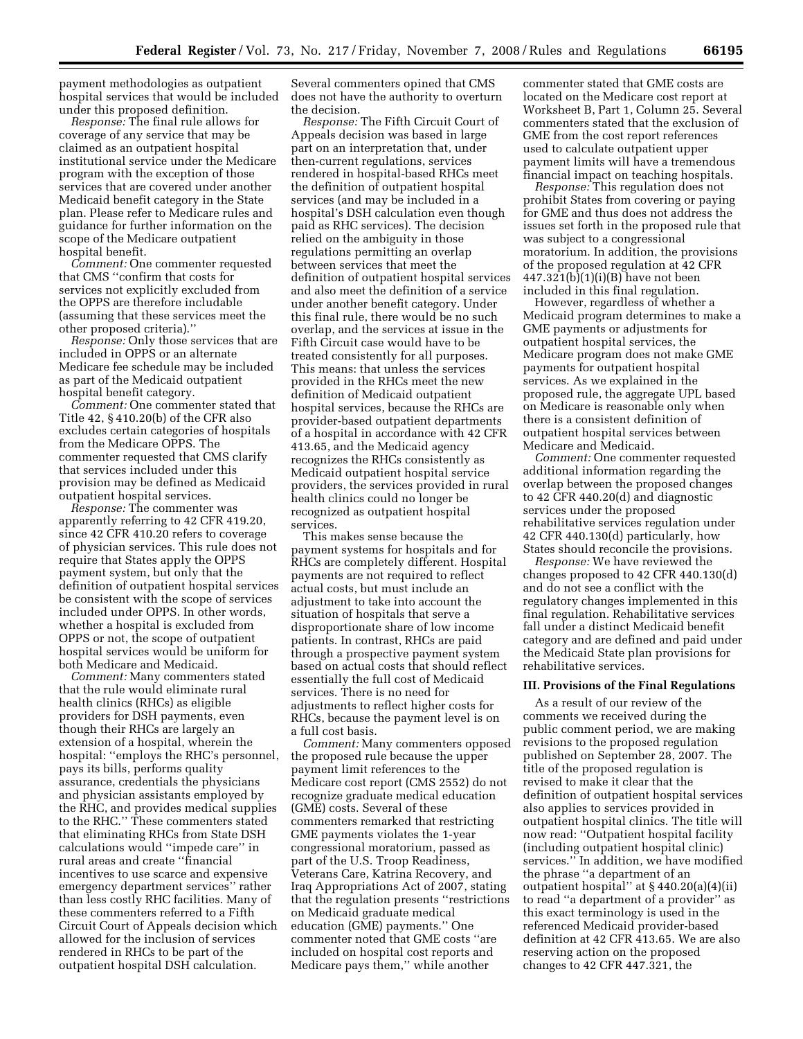payment methodologies as outpatient hospital services that would be included under this proposed definition.

*Response:* The final rule allows for coverage of any service that may be claimed as an outpatient hospital institutional service under the Medicare program with the exception of those services that are covered under another Medicaid benefit category in the State plan. Please refer to Medicare rules and guidance for further information on the scope of the Medicare outpatient hospital benefit.

*Comment:* One commenter requested that CMS ''confirm that costs for services not explicitly excluded from the OPPS are therefore includable (assuming that these services meet the other proposed criteria).''

*Response:* Only those services that are included in OPPS or an alternate Medicare fee schedule may be included as part of the Medicaid outpatient hospital benefit category.

*Comment:* One commenter stated that Title 42, § 410.20(b) of the CFR also excludes certain categories of hospitals from the Medicare OPPS. The commenter requested that CMS clarify that services included under this provision may be defined as Medicaid outpatient hospital services.

*Response:* The commenter was apparently referring to 42 CFR 419.20, since 42 CFR 410.20 refers to coverage of physician services. This rule does not require that States apply the OPPS payment system, but only that the definition of outpatient hospital services be consistent with the scope of services included under OPPS. In other words, whether a hospital is excluded from OPPS or not, the scope of outpatient hospital services would be uniform for both Medicare and Medicaid.

*Comment:* Many commenters stated that the rule would eliminate rural health clinics (RHCs) as eligible providers for DSH payments, even though their RHCs are largely an extension of a hospital, wherein the hospital: ''employs the RHC's personnel, pays its bills, performs quality assurance, credentials the physicians and physician assistants employed by the RHC, and provides medical supplies to the RHC.'' These commenters stated that eliminating RHCs from State DSH calculations would ''impede care'' in rural areas and create ''financial incentives to use scarce and expensive emergency department services'' rather than less costly RHC facilities. Many of these commenters referred to a Fifth Circuit Court of Appeals decision which allowed for the inclusion of services rendered in RHCs to be part of the outpatient hospital DSH calculation.

Several commenters opined that CMS does not have the authority to overturn the decision.

*Response:* The Fifth Circuit Court of Appeals decision was based in large part on an interpretation that, under then-current regulations, services rendered in hospital-based RHCs meet the definition of outpatient hospital services (and may be included in a hospital's DSH calculation even though paid as RHC services). The decision relied on the ambiguity in those regulations permitting an overlap between services that meet the definition of outpatient hospital services and also meet the definition of a service under another benefit category. Under this final rule, there would be no such overlap, and the services at issue in the Fifth Circuit case would have to be treated consistently for all purposes. This means: that unless the services provided in the RHCs meet the new definition of Medicaid outpatient hospital services, because the RHCs are provider-based outpatient departments of a hospital in accordance with 42 CFR 413.65, and the Medicaid agency recognizes the RHCs consistently as Medicaid outpatient hospital service providers, the services provided in rural health clinics could no longer be recognized as outpatient hospital services.

This makes sense because the payment systems for hospitals and for RHCs are completely different. Hospital payments are not required to reflect actual costs, but must include an adjustment to take into account the situation of hospitals that serve a disproportionate share of low income patients. In contrast, RHCs are paid through a prospective payment system based on actual costs that should reflect essentially the full cost of Medicaid services. There is no need for adjustments to reflect higher costs for RHCs, because the payment level is on a full cost basis.

*Comment:* Many commenters opposed the proposed rule because the upper payment limit references to the Medicare cost report (CMS 2552) do not recognize graduate medical education (GME) costs. Several of these commenters remarked that restricting GME payments violates the 1-year congressional moratorium, passed as part of the U.S. Troop Readiness, Veterans Care, Katrina Recovery, and Iraq Appropriations Act of 2007, stating that the regulation presents ''restrictions on Medicaid graduate medical education (GME) payments.'' One commenter noted that GME costs ''are included on hospital cost reports and Medicare pays them,'' while another

commenter stated that GME costs are located on the Medicare cost report at Worksheet B, Part 1, Column 25. Several commenters stated that the exclusion of GME from the cost report references used to calculate outpatient upper payment limits will have a tremendous financial impact on teaching hospitals.

*Response:* This regulation does not prohibit States from covering or paying for GME and thus does not address the issues set forth in the proposed rule that was subject to a congressional moratorium. In addition, the provisions of the proposed regulation at 42 CFR  $447.321(b)(1)(i)(B)$  have not been included in this final regulation.

However, regardless of whether a Medicaid program determines to make a GME payments or adjustments for outpatient hospital services, the Medicare program does not make GME payments for outpatient hospital services. As we explained in the proposed rule, the aggregate UPL based on Medicare is reasonable only when there is a consistent definition of outpatient hospital services between Medicare and Medicaid.

*Comment:* One commenter requested additional information regarding the overlap between the proposed changes to 42 CFR 440.20(d) and diagnostic services under the proposed rehabilitative services regulation under 42 CFR 440.130(d) particularly, how States should reconcile the provisions.

*Response:* We have reviewed the changes proposed to 42 CFR 440.130(d) and do not see a conflict with the regulatory changes implemented in this final regulation. Rehabilitative services fall under a distinct Medicaid benefit category and are defined and paid under the Medicaid State plan provisions for rehabilitative services.

### **III. Provisions of the Final Regulations**

As a result of our review of the comments we received during the public comment period, we are making revisions to the proposed regulation published on September 28, 2007. The title of the proposed regulation is revised to make it clear that the definition of outpatient hospital services also applies to services provided in outpatient hospital clinics. The title will now read: ''Outpatient hospital facility (including outpatient hospital clinic) services.'' In addition, we have modified the phrase ''a department of an outpatient hospital'' at § 440.20(a)(4)(ii) to read ''a department of a provider'' as this exact terminology is used in the referenced Medicaid provider-based definition at 42 CFR 413.65. We are also reserving action on the proposed changes to 42 CFR 447.321, the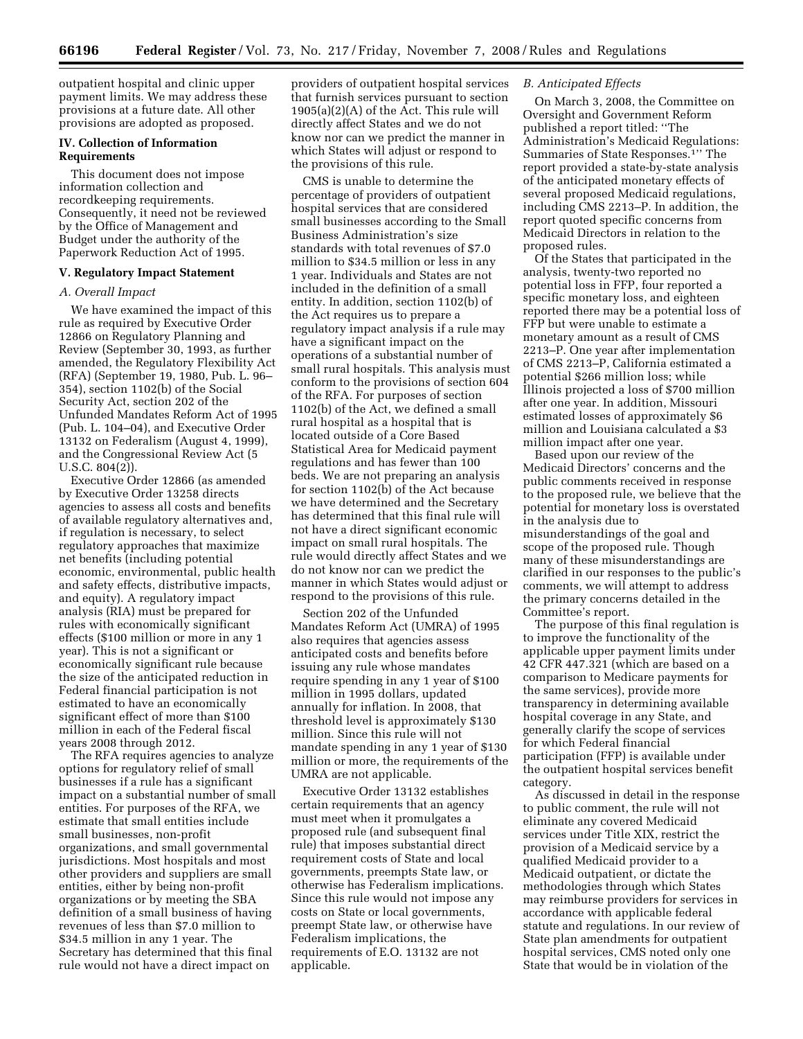outpatient hospital and clinic upper payment limits. We may address these provisions at a future date. All other provisions are adopted as proposed.

# **IV. Collection of Information Requirements**

This document does not impose information collection and recordkeeping requirements. Consequently, it need not be reviewed by the Office of Management and Budget under the authority of the Paperwork Reduction Act of 1995.

## **V. Regulatory Impact Statement**

#### *A. Overall Impact*

We have examined the impact of this rule as required by Executive Order 12866 on Regulatory Planning and Review (September 30, 1993, as further amended, the Regulatory Flexibility Act (RFA) (September 19, 1980, Pub. L. 96– 354), section 1102(b) of the Social Security Act, section 202 of the Unfunded Mandates Reform Act of 1995 (Pub. L. 104–04), and Executive Order 13132 on Federalism (August 4, 1999), and the Congressional Review Act (5 U.S.C. 804(2)).

Executive Order 12866 (as amended by Executive Order 13258 directs agencies to assess all costs and benefits of available regulatory alternatives and, if regulation is necessary, to select regulatory approaches that maximize net benefits (including potential economic, environmental, public health and safety effects, distributive impacts, and equity). A regulatory impact analysis (RIA) must be prepared for rules with economically significant effects (\$100 million or more in any 1 year). This is not a significant or economically significant rule because the size of the anticipated reduction in Federal financial participation is not estimated to have an economically significant effect of more than \$100 million in each of the Federal fiscal years 2008 through 2012.

The RFA requires agencies to analyze options for regulatory relief of small businesses if a rule has a significant impact on a substantial number of small entities. For purposes of the RFA, we estimate that small entities include small businesses, non-profit organizations, and small governmental jurisdictions. Most hospitals and most other providers and suppliers are small entities, either by being non-profit organizations or by meeting the SBA definition of a small business of having revenues of less than \$7.0 million to \$34.5 million in any 1 year. The Secretary has determined that this final rule would not have a direct impact on

providers of outpatient hospital services that furnish services pursuant to section 1905(a)(2)(A) of the Act. This rule will directly affect States and we do not know nor can we predict the manner in which States will adjust or respond to the provisions of this rule.

CMS is unable to determine the percentage of providers of outpatient hospital services that are considered small businesses according to the Small Business Administration's size standards with total revenues of \$7.0 million to \$34.5 million or less in any 1 year. Individuals and States are not included in the definition of a small entity. In addition, section 1102(b) of the Act requires us to prepare a regulatory impact analysis if a rule may have a significant impact on the operations of a substantial number of small rural hospitals. This analysis must conform to the provisions of section 604 of the RFA. For purposes of section 1102(b) of the Act, we defined a small rural hospital as a hospital that is located outside of a Core Based Statistical Area for Medicaid payment regulations and has fewer than 100 beds. We are not preparing an analysis for section 1102(b) of the Act because we have determined and the Secretary has determined that this final rule will not have a direct significant economic impact on small rural hospitals. The rule would directly affect States and we do not know nor can we predict the manner in which States would adjust or respond to the provisions of this rule.

Section 202 of the Unfunded Mandates Reform Act (UMRA) of 1995 also requires that agencies assess anticipated costs and benefits before issuing any rule whose mandates require spending in any 1 year of \$100 million in 1995 dollars, updated annually for inflation. In 2008, that threshold level is approximately \$130 million. Since this rule will not mandate spending in any 1 year of \$130 million or more, the requirements of the UMRA are not applicable.

Executive Order 13132 establishes certain requirements that an agency must meet when it promulgates a proposed rule (and subsequent final rule) that imposes substantial direct requirement costs of State and local governments, preempts State law, or otherwise has Federalism implications. Since this rule would not impose any costs on State or local governments, preempt State law, or otherwise have Federalism implications, the requirements of E.O. 13132 are not applicable.

# *B. Anticipated Effects*

On March 3, 2008, the Committee on Oversight and Government Reform published a report titled: ''The Administration's Medicaid Regulations: Summaries of State Responses.1'' The report provided a state-by-state analysis of the anticipated monetary effects of several proposed Medicaid regulations, including CMS 2213–P. In addition, the report quoted specific concerns from Medicaid Directors in relation to the proposed rules.

Of the States that participated in the analysis, twenty-two reported no potential loss in FFP, four reported a specific monetary loss, and eighteen reported there may be a potential loss of FFP but were unable to estimate a monetary amount as a result of CMS 2213–P. One year after implementation of CMS 2213–P, California estimated a potential \$266 million loss; while Illinois projected a loss of \$700 million after one year. In addition, Missouri estimated losses of approximately \$6 million and Louisiana calculated a \$3 million impact after one year.

Based upon our review of the Medicaid Directors' concerns and the public comments received in response to the proposed rule, we believe that the potential for monetary loss is overstated in the analysis due to misunderstandings of the goal and scope of the proposed rule. Though many of these misunderstandings are clarified in our responses to the public's comments, we will attempt to address the primary concerns detailed in the Committee's report.

The purpose of this final regulation is to improve the functionality of the applicable upper payment limits under 42 CFR 447.321 (which are based on a comparison to Medicare payments for the same services), provide more transparency in determining available hospital coverage in any State, and generally clarify the scope of services for which Federal financial participation (FFP) is available under the outpatient hospital services benefit category.

As discussed in detail in the response to public comment, the rule will not eliminate any covered Medicaid services under Title XIX, restrict the provision of a Medicaid service by a qualified Medicaid provider to a Medicaid outpatient, or dictate the methodologies through which States may reimburse providers for services in accordance with applicable federal statute and regulations. In our review of State plan amendments for outpatient hospital services, CMS noted only one State that would be in violation of the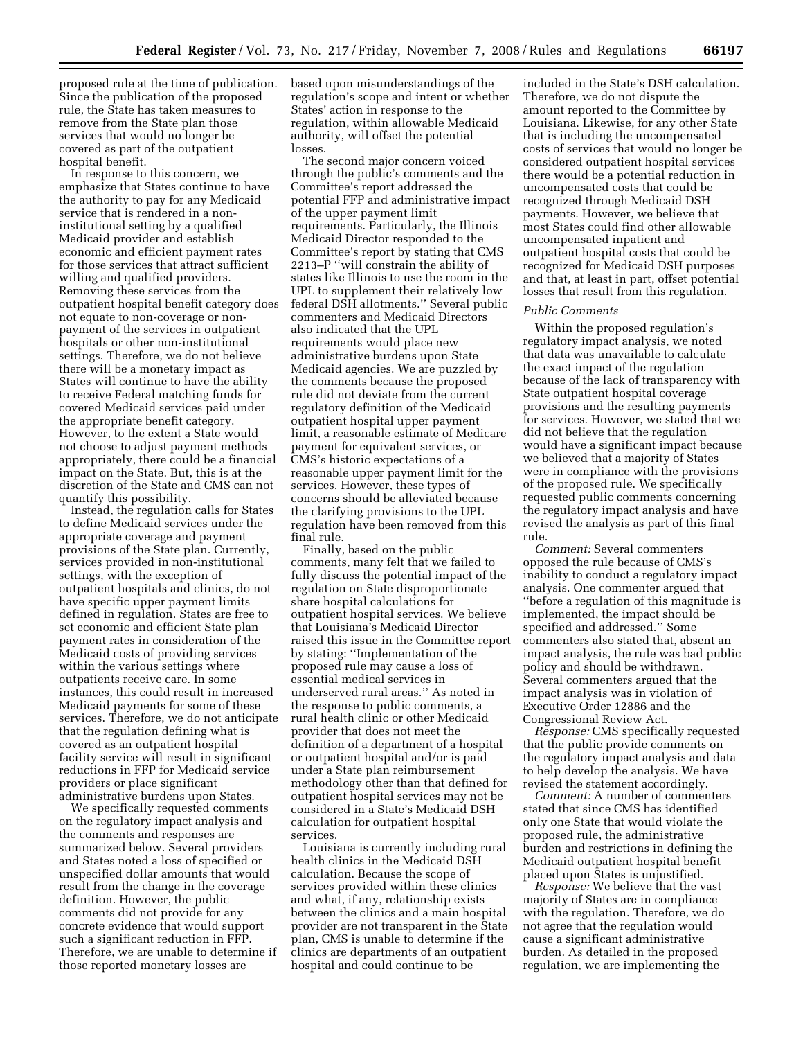proposed rule at the time of publication. Since the publication of the proposed rule, the State has taken measures to remove from the State plan those services that would no longer be covered as part of the outpatient hospital benefit.

In response to this concern, we emphasize that States continue to have the authority to pay for any Medicaid service that is rendered in a noninstitutional setting by a qualified Medicaid provider and establish economic and efficient payment rates for those services that attract sufficient willing and qualified providers. Removing these services from the outpatient hospital benefit category does not equate to non-coverage or nonpayment of the services in outpatient hospitals or other non-institutional settings. Therefore, we do not believe there will be a monetary impact as States will continue to have the ability to receive Federal matching funds for covered Medicaid services paid under the appropriate benefit category. However, to the extent a State would not choose to adjust payment methods appropriately, there could be a financial impact on the State. But, this is at the discretion of the State and CMS can not quantify this possibility.

Instead, the regulation calls for States to define Medicaid services under the appropriate coverage and payment provisions of the State plan. Currently, services provided in non-institutional settings, with the exception of outpatient hospitals and clinics, do not have specific upper payment limits defined in regulation. States are free to set economic and efficient State plan payment rates in consideration of the Medicaid costs of providing services within the various settings where outpatients receive care. In some instances, this could result in increased Medicaid payments for some of these services. Therefore, we do not anticipate that the regulation defining what is covered as an outpatient hospital facility service will result in significant reductions in FFP for Medicaid service providers or place significant administrative burdens upon States.

We specifically requested comments on the regulatory impact analysis and the comments and responses are summarized below. Several providers and States noted a loss of specified or unspecified dollar amounts that would result from the change in the coverage definition. However, the public comments did not provide for any concrete evidence that would support such a significant reduction in FFP. Therefore, we are unable to determine if those reported monetary losses are

based upon misunderstandings of the regulation's scope and intent or whether States' action in response to the regulation, within allowable Medicaid authority, will offset the potential losses.

The second major concern voiced through the public's comments and the Committee's report addressed the potential FFP and administrative impact of the upper payment limit requirements. Particularly, the Illinois Medicaid Director responded to the Committee's report by stating that CMS 2213–P ''will constrain the ability of states like Illinois to use the room in the UPL to supplement their relatively low federal DSH allotments.'' Several public commenters and Medicaid Directors also indicated that the UPL requirements would place new administrative burdens upon State Medicaid agencies. We are puzzled by the comments because the proposed rule did not deviate from the current regulatory definition of the Medicaid outpatient hospital upper payment limit, a reasonable estimate of Medicare payment for equivalent services, or CMS's historic expectations of a reasonable upper payment limit for the services. However, these types of concerns should be alleviated because the clarifying provisions to the UPL regulation have been removed from this final rule.

Finally, based on the public comments, many felt that we failed to fully discuss the potential impact of the regulation on State disproportionate share hospital calculations for outpatient hospital services. We believe that Louisiana's Medicaid Director raised this issue in the Committee report by stating: ''Implementation of the proposed rule may cause a loss of essential medical services in underserved rural areas.'' As noted in the response to public comments, a rural health clinic or other Medicaid provider that does not meet the definition of a department of a hospital or outpatient hospital and/or is paid under a State plan reimbursement methodology other than that defined for outpatient hospital services may not be considered in a State's Medicaid DSH calculation for outpatient hospital services.

Louisiana is currently including rural health clinics in the Medicaid DSH calculation. Because the scope of services provided within these clinics and what, if any, relationship exists between the clinics and a main hospital provider are not transparent in the State plan, CMS is unable to determine if the clinics are departments of an outpatient hospital and could continue to be

included in the State's DSH calculation. Therefore, we do not dispute the amount reported to the Committee by Louisiana. Likewise, for any other State that is including the uncompensated costs of services that would no longer be considered outpatient hospital services there would be a potential reduction in uncompensated costs that could be recognized through Medicaid DSH payments. However, we believe that most States could find other allowable uncompensated inpatient and outpatient hospital costs that could be recognized for Medicaid DSH purposes and that, at least in part, offset potential losses that result from this regulation.

# *Public Comments*

Within the proposed regulation's regulatory impact analysis, we noted that data was unavailable to calculate the exact impact of the regulation because of the lack of transparency with State outpatient hospital coverage provisions and the resulting payments for services. However, we stated that we did not believe that the regulation would have a significant impact because we believed that a majority of States were in compliance with the provisions of the proposed rule. We specifically requested public comments concerning the regulatory impact analysis and have revised the analysis as part of this final rule.

*Comment:* Several commenters opposed the rule because of CMS's inability to conduct a regulatory impact analysis. One commenter argued that ''before a regulation of this magnitude is implemented, the impact should be specified and addressed.'' Some commenters also stated that, absent an impact analysis, the rule was bad public policy and should be withdrawn. Several commenters argued that the impact analysis was in violation of Executive Order 12886 and the Congressional Review Act.

*Response:* CMS specifically requested that the public provide comments on the regulatory impact analysis and data to help develop the analysis. We have revised the statement accordingly.

*Comment:* A number of commenters stated that since CMS has identified only one State that would violate the proposed rule, the administrative burden and restrictions in defining the Medicaid outpatient hospital benefit placed upon States is unjustified.

*Response:* We believe that the vast majority of States are in compliance with the regulation. Therefore, we do not agree that the regulation would cause a significant administrative burden. As detailed in the proposed regulation, we are implementing the